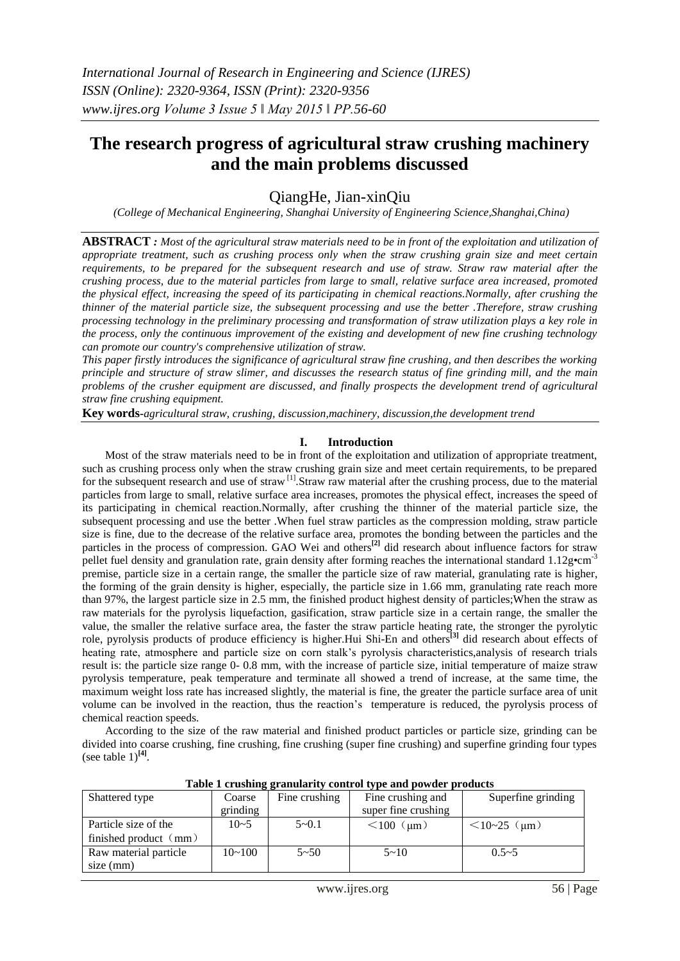# **The research progress of agricultural straw crushing machinery and the main problems discussed**

## QiangHe, Jian-xinQiu

*(College of Mechanical Engineering, Shanghai University of Engineering Science,Shanghai,China)* 

**ABSTRACT**: Most of the agricultural straw materials need to be in front of the exploitation and utilization of *appropriate treatment, such as crushing process only when the straw crushing grain size and meet certain requirements, to be prepared for the subsequent research and use of straw. Straw raw material after the crushing process, due to the material particles from large to small, relative surface area increased, promoted the physical effect, increasing the speed of its participating in chemical reactions.Normally, after crushing the thinner of the material particle size, the subsequent processing and use the better .Therefore, straw crushing processing technology in the preliminary processing and transformation of straw utilization plays a key role in the process, only the continuous improvement of the existing and development of new fine crushing technology can promote our country's comprehensive utilization of straw.*

*This paper firstly introduces the significance of agricultural straw fine crushing, and then describes the working principle and structure of straw slimer, and discusses the research status of fine grinding mill, and the main problems of the crusher equipment are discussed, and finally prospects the development trend of agricultural straw fine crushing equipment.*

**Key words-***agricultural straw, crushing, discussion,machinery, discussion,the development trend*

## **I. Introduction**

Most of the straw materials need to be in front of the exploitation and utilization of appropriate treatment, such as crushing process only when the straw crushing grain size and meet certain requirements, to be prepared for the subsequent research and use of straw <sup>[1]</sup>. Straw raw material after the crushing process, due to the material particles from large to small, relative surface area increases, promotes the physical effect, increases the speed of its participating in chemical reaction.Normally, after crushing the thinner of the material particle size, the subsequent processing and use the better .When fuel straw particles as the compression molding, straw particle size is fine, due to the decrease of the relative surface area, promotes the bonding between the particles and the particles in the process of compression. GAO Wei and others**[2]** did research about influence factors for straw pellet fuel density and granulation rate, grain density after forming reaches the international standard  $1.12$ g•cm<sup>-3</sup> premise, particle size in a certain range, the smaller the particle size of raw material, granulating rate is higher, the forming of the grain density is higher, especially, the particle size in 1.66 mm, granulating rate reach more than 97%, the largest particle size in 2.5 mm, the finished product highest density of particles;When the straw as raw materials for the pyrolysis liquefaction, gasification, straw particle size in a certain range, the smaller the value, the smaller the relative surface area, the faster the straw particle heating rate, the stronger the pyrolytic role, pyrolysis products of produce efficiency is higher.Hui Shi-En and others**[3]** did research about effects of heating rate, atmosphere and particle size on corn stalk's pyrolysis characteristics,analysis of research trials result is: the particle size range 0- 0.8 mm, with the increase of particle size, initial temperature of maize straw pyrolysis temperature, peak temperature and terminate all showed a trend of increase, at the same time, the maximum weight loss rate has increased slightly, the material is fine, the greater the particle surface area of unit volume can be involved in the reaction, thus the reaction's temperature is reduced, the pyrolysis process of chemical reaction speeds.

According to the size of the raw material and finished product particles or particle size, grinding can be divided into coarse crushing, fine crushing, fine crushing (super fine crushing) and superfine grinding four types (see table  $1$ )<sup>[4]</sup>.

| Table I erushing grammarity control type and powder products |            |               |                     |                    |
|--------------------------------------------------------------|------------|---------------|---------------------|--------------------|
| Shattered type                                               | Coarse     | Fine crushing | Fine crushing and   | Superfine grinding |
|                                                              | grinding   |               | super fine crushing |                    |
| Particle size of the                                         | $10 - 5$   | $5 - 0.1$     | $< 100$ ( $\mu$ m)  | $<10-25$ (µm)      |
| finished product $\langle mm \rangle$                        |            |               |                     |                    |
| Raw material particle                                        | $10 - 100$ | $5 - 50$      | $5 - 10$            | $0.5 - 5$          |
| size (mm)                                                    |            |               |                     |                    |

**Table 1 crushing granularity control type and powder products**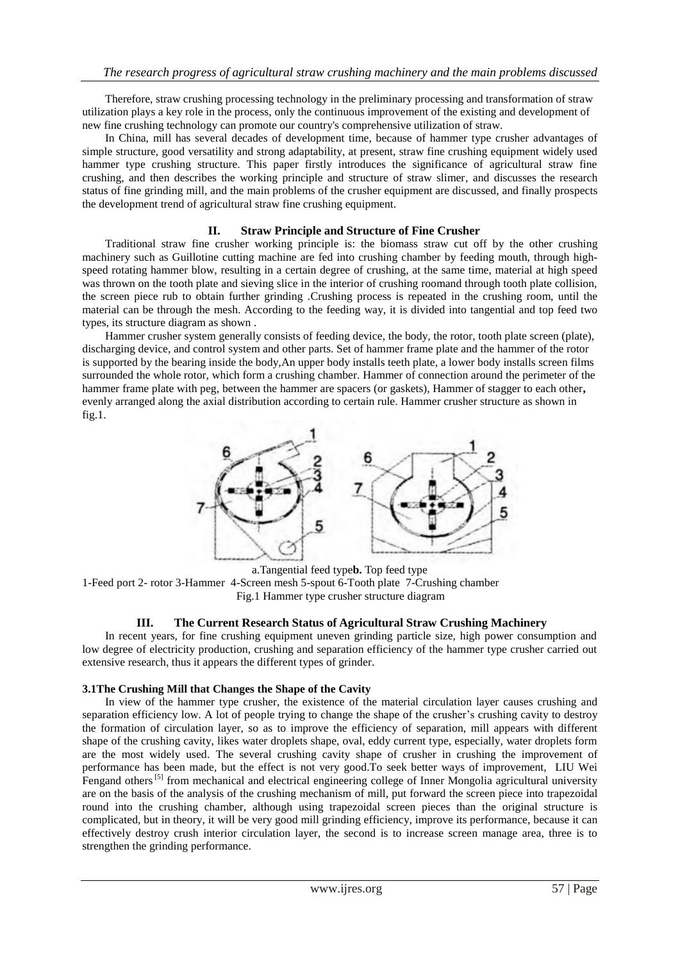Therefore, straw crushing processing technology in the preliminary processing and transformation of straw utilization plays a key role in the process, only the continuous improvement of the existing and development of new fine crushing technology can promote our country's comprehensive utilization of straw.

In China, mill has several decades of development time, because of hammer type crusher advantages of simple structure, good versatility and strong adaptability, at present, straw fine crushing equipment widely used hammer type crushing structure. This paper firstly introduces the significance of agricultural straw fine crushing, and then describes the working principle and structure of straw slimer, and discusses the research status of fine grinding mill, and the main problems of the crusher equipment are discussed, and finally prospects the development trend of agricultural straw fine crushing equipment.

### **II. Straw Principle and Structure of Fine Crusher**

Traditional straw fine crusher working principle is: the biomass straw cut off by the other crushing machinery such as Guillotine cutting machine are fed into crushing chamber by feeding mouth, through highspeed rotating hammer blow, resulting in a certain degree of crushing, at the same time, material at high speed was thrown on the tooth plate and sieving slice in the interior of crushing roomand through tooth plate collision, the screen piece rub to obtain further grinding .Crushing process is repeated in the crushing room, until the material can be through the mesh. According to the feeding way, it is divided into tangential and top feed two types, its structure diagram as shown .

Hammer crusher system generally consists of feeding device, the body, the rotor, tooth plate screen (plate), discharging device, and control system and other parts. Set of hammer frame plate and the hammer of the rotor is supported by the bearing inside the body,An upper body installs teeth plate, a lower body installs screen films surrounded the whole rotor, which form a crushing chamber. Hammer of connection around the perimeter of the hammer frame plate with peg, between the hammer are spacers (or gaskets), Hammer of stagger to each other**,** evenly arranged along the axial distribution according to certain rule. Hammer crusher structure as shown in fig.1.



a.Tangential feed type**b.** Top feed type 1-Feed port 2- rotor 3-Hammer 4-Screen mesh 5-spout 6-Tooth plate 7-Crushing chamber Fig.1 Hammer type crusher structure diagram

#### **III. The Current Research Status of Agricultural Straw Crushing Machinery**

In recent years, for fine crushing equipment uneven grinding particle size, high power consumption and low degree of electricity production, crushing and separation efficiency of the hammer type crusher carried out extensive research, thus it appears the different types of grinder.

#### **3.1The Crushing Mill that Changes the Shape of the Cavity**

In view of the hammer type crusher, the existence of the material circulation layer causes crushing and separation efficiency low. A lot of people trying to change the shape of the crusher's crushing cavity to destroy the formation of circulation layer, so as to improve the efficiency of separation, mill appears with different shape of the crushing cavity, likes water droplets shape, oval, eddy current type, especially, water droplets form are the most widely used. The several crushing cavity shape of crusher in crushing the improvement of performance has been made, but the effect is not very good.To seek better ways of improvement, LIU Wei Fengand others<sup>[5]</sup> from mechanical and electrical engineering college of Inner Mongolia agricultural university are on the basis of the analysis of the crushing mechanism of mill, put forward the screen piece into trapezoidal round into the crushing chamber, although using trapezoidal screen pieces than the original structure is complicated, but in theory, it will be very good mill grinding efficiency, improve its performance, because it can effectively destroy crush interior circulation layer, the second is to increase screen manage area, three is to strengthen the grinding performance.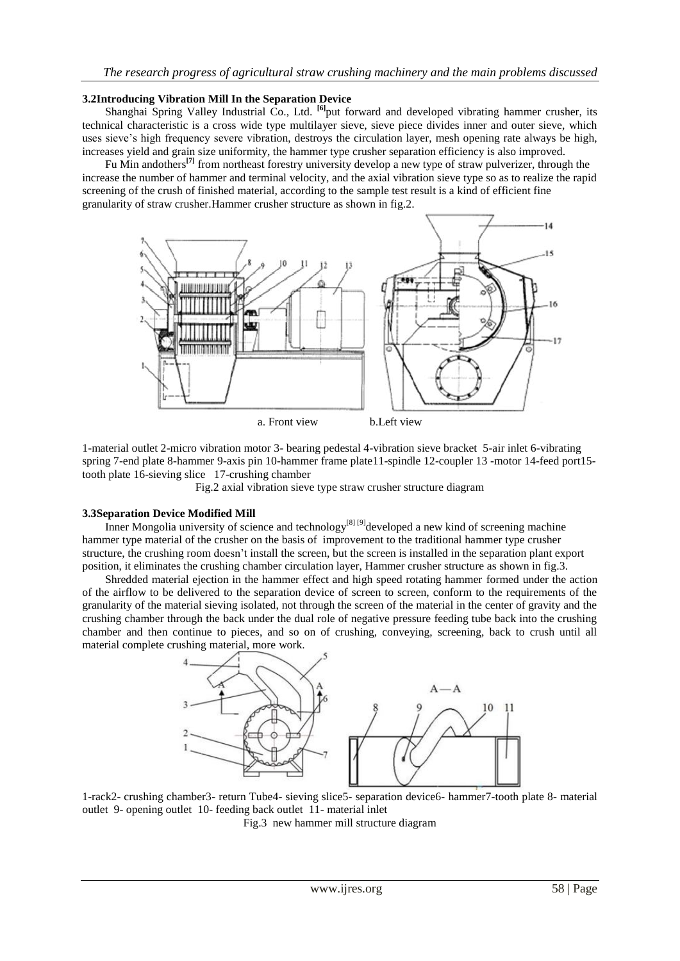#### **3.2Introducing Vibration Mill In the Separation Device**

Shanghai Spring Valley Industrial Co., Ltd. **[6]** put forward and developed vibrating hammer crusher, its technical characteristic is a cross wide type multilayer sieve, sieve piece divides inner and outer sieve, which uses sieve's high frequency severe vibration, destroys the circulation layer, mesh opening rate always be high, increases yield and grain size uniformity, the hammer type crusher separation efficiency is also improved.

Fu Min andothers**[7]** from northeast forestry university develop a new type of straw pulverizer, through the increase the number of hammer and terminal velocity, and the axial vibration sieve type so as to realize the rapid screening of the crush of finished material, according to the sample test result is a kind of efficient fine granularity of straw crusher.Hammer crusher structure as shown in fig.2.



1-material outlet 2-micro vibration motor 3- bearing pedestal 4-vibration sieve bracket 5-air inlet 6-vibrating spring 7-end plate 8-hammer 9-axis pin 10-hammer frame plate11-spindle 12-coupler 13 -motor 14-feed port15 tooth plate 16-sieving slice 17-crushing chamber

Fig.2 axial vibration sieve type straw crusher structure diagram

#### **3.3Separation Device Modified Mill**

Inner Mongolia university of science and technology<sup>[8] [9]</sup>developed a new kind of screening machine hammer type material of the crusher on the basis of improvement to the traditional hammer type crusher structure, the crushing room doesn't install the screen, but the screen is installed in the separation plant export position, it eliminates the crushing chamber circulation layer, Hammer crusher structure as shown in fig.3.

Shredded material ejection in the hammer effect and high speed rotating hammer formed under the action of the airflow to be delivered to the separation device of screen to screen, conform to the requirements of the granularity of the material sieving isolated, not through the screen of the material in the center of gravity and the crushing chamber through the back under the dual role of negative pressure feeding tube back into the crushing chamber and then continue to pieces, and so on of crushing, conveying, screening, back to crush until all material complete crushing material, more work.



1-rack2- crushing chamber3- return Tube4- sieving slice5- separation device6- hammer7-tooth plate 8- material outlet 9- opening outlet 10- feeding back outlet 11- material inlet

Fig.3 new hammer mill structure diagram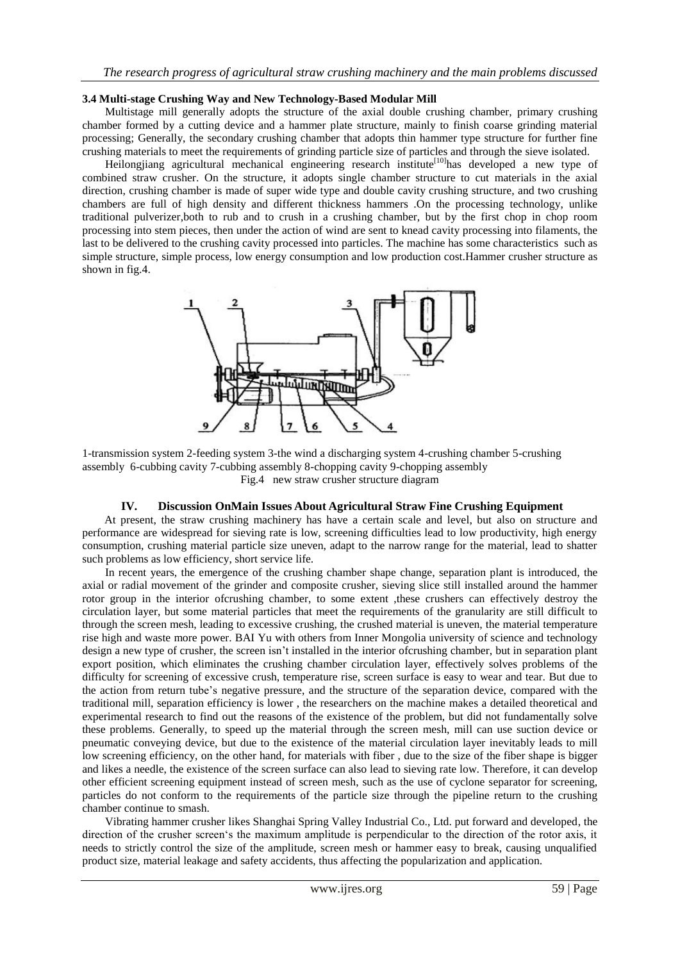#### **3.4 Multi-stage Crushing Way and New Technology-Based Modular Mill**

Multistage mill generally adopts the structure of the axial double crushing chamber, primary crushing chamber formed by a cutting device and a hammer plate structure, mainly to finish coarse grinding material processing; Generally, the secondary crushing chamber that adopts thin hammer type structure for further fine crushing materials to meet the requirements of grinding particle size of particles and through the sieve isolated.

Heilongjiang agricultural mechanical engineering research institute<sup>[10]</sup>has developed a new type of combined straw crusher. On the structure, it adopts single chamber structure to cut materials in the axial direction, crushing chamber is made of super wide type and double cavity crushing structure, and two crushing chambers are full of high density and different thickness hammers .On the processing technology, unlike traditional pulverizer,both to rub and to crush in a crushing chamber, but by the first chop in chop room processing into stem pieces, then under the action of wind are sent to knead cavity processing into filaments, the last to be delivered to the crushing cavity processed into particles. The machine has some characteristics such as simple structure, simple process, low energy consumption and low production cost.Hammer crusher structure as shown in fig.4.



1-transmission system 2-feeding system 3-the wind a discharging system 4-crushing chamber 5-crushing assembly 6-cubbing cavity 7-cubbing assembly 8-chopping cavity 9-chopping assembly Fig.4 new straw crusher structure diagram

## **IV. Discussion OnMain Issues About Agricultural Straw Fine Crushing Equipment**

At present, the straw crushing machinery has have a certain scale and level, but also on structure and performance are widespread for sieving rate is low, screening difficulties lead to low productivity, high energy consumption, crushing material particle size uneven, adapt to the narrow range for the material, lead to shatter such problems as low efficiency, short service life.

In recent years, the emergence of the crushing chamber shape change, separation plant is introduced, the axial or radial movement of the grinder and composite crusher, sieving slice still installed around the hammer rotor group in the interior ofcrushing chamber, to some extent , these crushers can effectively destroy the circulation layer, but some material particles that meet the requirements of the granularity are still difficult to through the screen mesh, leading to excessive crushing, the crushed material is uneven, the material temperature rise high and waste more power. BAI Yu with others from Inner Mongolia university of science and technology design a new type of crusher, the screen isn't installed in the interior ofcrushing chamber, but in separation plant export position, which eliminates the crushing chamber circulation layer, effectively solves problems of the difficulty for screening of excessive crush, temperature rise, screen surface is easy to wear and tear. But due to the action from return tube's negative pressure, and the structure of the separation device, compared with the traditional mill, separation efficiency is lower , the researchers on the machine makes a detailed theoretical and experimental research to find out the reasons of the existence of the problem, but did not fundamentally solve these problems. Generally, to speed up the material through the screen mesh, mill can use suction device or pneumatic conveying device, but due to the existence of the material circulation layer inevitably leads to mill low screening efficiency, on the other hand, for materials with fiber , due to the size of the fiber shape is bigger and likes a needle, the existence of the screen surface can also lead to sieving rate low. Therefore, it can develop other efficient screening equipment instead of screen mesh, such as the use of cyclone separator for screening, particles do not conform to the requirements of the particle size through the pipeline return to the crushing chamber continue to smash.

Vibrating hammer crusher likes Shanghai Spring Valley Industrial Co., Ltd. put forward and developed, the direction of the crusher screen's the maximum amplitude is perpendicular to the direction of the rotor axis, it needs to strictly control the size of the amplitude, screen mesh or hammer easy to break, causing unqualified product size, material leakage and safety accidents, thus affecting the popularization and application.